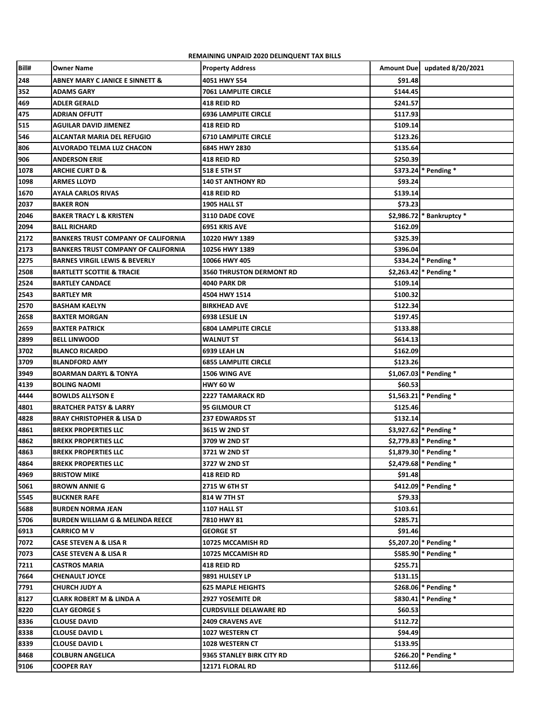**REMAINING UNPAID 2020 DELINQUENT TAX BILLS** 

| Bill#        | Owner Name                                  | <b>Property Address</b>         |          | Amount Due   updated 8/20/2021 |
|--------------|---------------------------------------------|---------------------------------|----------|--------------------------------|
| 248          | <b>ABNEY MARY C JANICE E SINNETT &amp;</b>  | 4051 HWY 554                    | \$91.48  |                                |
| 352          | <b>ADAMS GARY</b>                           | <b>7061 LAMPLITE CIRCLE</b>     | \$144.45 |                                |
| 469          | <b>ADLER GERALD</b>                         | 418 REID RD                     | \$241.57 |                                |
| 475          | <b>ADRIAN OFFUTT</b>                        | <b>6936 LAMPLITE CIRCLE</b>     | \$117.93 |                                |
| 515          | AGUILAR DAVID JIMENEZ                       | 418 REID RD                     | \$109.14 |                                |
| 546          | <b>ALCANTAR MARIA DEL REFUGIO</b>           | <b>6710 LAMPLITE CIRCLE</b>     | \$123.26 |                                |
| 806          | ALVORADO TELMA LUZ CHACON                   | 6845 HWY 2830                   | \$135.64 |                                |
| 906          | <b>ANDERSON ERIE</b>                        | 418 REID RD                     | \$250.39 |                                |
| 1078         | <b>ARCHIE CURT D &amp;</b>                  | 518 E 5TH ST                    |          | $$373.24$ Pending *            |
| 1098         | <b>ARMES LLOYD</b>                          | 140 ST ANTHONY RD               | \$93.24  |                                |
| 1670         | AYALA CARLOS RIVAS                          | 418 REID RD                     | \$139.14 |                                |
| 2037         | <b>BAKER RON</b>                            | 1905 HALL ST                    | \$73.23  |                                |
| 2046         | <b>BAKER TRACY L &amp; KRISTEN</b>          | 3110 DADE COVE                  |          | \$2,986.72 * Bankruptcy *      |
| 2094         | <b>BALL RICHARD</b>                         | 6951 KRIS AVE                   | \$162.09 |                                |
| 2172         | <b>BANKERS TRUST COMPANY OF CALIFORNIA</b>  | 10220 HWY 1389                  | \$325.39 |                                |
| 2173         | <b>BANKERS TRUST COMPANY OF CALIFORNIA</b>  | 10256 HWY 1389                  | \$396.04 |                                |
| 2275         | <b>BARNES VIRGIL LEWIS &amp; BEVERLY</b>    | 10066 HWY 405                   |          | $$334.24$ * Pending *          |
| 2508         | <b>BARTLETT SCOTTIE &amp; TRACIE</b>        | <b>3560 THRUSTON DERMONT RD</b> |          | \$2,263.42 * Pending *         |
| 2524         | <b>BARTLEY CANDACE</b>                      | <b>4040 PARK DR</b>             | \$109.14 |                                |
| 2543         | <b>BARTLEY MR</b>                           | 4504 HWY 1514                   | \$100.32 |                                |
| 2570         | <b>BASHAM KAELYN</b>                        | <b>BIRKHEAD AVE</b>             | \$122.34 |                                |
| 2658         | <b>BAXTER MORGAN</b>                        | 6938 LESLIE LN                  | \$197.45 |                                |
| 2659         | <b>BAXTER PATRICK</b>                       | <b>6804 LAMPLITE CIRCLE</b>     | \$133.88 |                                |
| 2899         | <b>BELL LINWOOD</b>                         | WALNUT ST                       | \$614.13 |                                |
|              | <b>BLANCO RICARDO</b>                       | 6939 LEAH LN                    | \$162.09 |                                |
| 3702<br>3709 |                                             |                                 | \$123.26 |                                |
|              | <b>BLANDFORD AMY</b>                        | <b>6855 LAMPLITE CIRCLE</b>     |          | $$1,067.03$ * Pending *        |
| 3949         | <b>BOARMAN DARYL &amp; TONYA</b>            | <b>1506 WING AVE</b>            |          |                                |
| 4139         | <b>BOLING NAOMI</b>                         | HWY 60 W                        | \$60.53  |                                |
| 4444         | <b>BOWLDS ALLYSON E</b>                     | 2227 TAMARACK RD                |          | $$1,563.21$ Pending *          |
| 4801         | <b>BRATCHER PATSY &amp; LARRY</b>           | <b>95 GILMOUR CT</b>            | \$125.46 |                                |
| 4828         | <b>BRAY CHRISTOPHER &amp; LISA D</b>        | <b>237 EDWARDS ST</b>           | \$132.14 |                                |
| 4861         | <b>BREKK PROPERTIES LLC</b>                 | 3615 W 2ND ST                   |          | \$3,927.62 * Pending *         |
| 4862         | <b>BREKK PROPERTIES LLC</b>                 | 3709 W 2ND ST                   |          | $$2,779.83$ * Pending *        |
| 4863         | <b>BREKK PROPERTIES LLC</b>                 | 3721 W 2ND ST                   |          | $$1,879.30$ * Pending *        |
| 4864         | <b>BREKK PROPERTIES LLC</b>                 | 3727 W 2ND ST                   |          | $$2,479.68$ * Pending *        |
| 4969         | <b>BRISTOW MIKE</b>                         | <b>418 REID RD</b>              | \$91.48  |                                |
| 5061         | <b>BROWN ANNIE G</b>                        | 2715 W 6TH ST                   |          | \$412.09 * Pending *           |
| 5545         | <b>BUCKNER RAFE</b>                         | 814 W 7TH ST                    | \$79.33  |                                |
| 5688         | <b>BURDEN NORMA JEAN</b>                    | 1107 HALL ST                    | \$103.61 |                                |
| 5706         | <b>BURDEN WILLIAM G &amp; MELINDA REECE</b> | 7810 HWY 81                     | \$285.71 |                                |
| 6913         | CARRICO M V                                 | <b>GEORGE ST</b>                | \$91.46  |                                |
| 7072         | CASE STEVEN A & LISA R                      | 10725 MCCAMISH RD               |          | \$5,207.20 * Pending *         |
| 7073         | CASE STEVEN A & LISA R                      | 10725 MCCAMISH RD               |          | $$585.90$ * Pending *          |
| 7211         | CASTROS MARIA                               | 418 REID RD                     | \$255.71 |                                |
| 7664         | CHENAULT JOYCE                              | 9891 HULSEY LP                  | \$131.15 |                                |
| 7791         | CHURCH JUDY A                               | <b>625 MAPLE HEIGHTS</b>        |          | \$268.06 * Pending *           |
| 8127         | <b>CLARK ROBERT M &amp; LINDA A</b>         | <b>2927 YOSEMITE DR</b>         |          | \$830.41 * Pending *           |
| 8220         | <b>CLAY GEORGE S</b>                        | <b>CURDSVILLE DELAWARE RD</b>   | \$60.53  |                                |
| 8336         | <b>CLOUSE DAVID</b>                         | <b>2409 CRAVENS AVE</b>         | \$112.72 |                                |
| 8338         | <b>CLOUSE DAVID L</b>                       | <b>1027 WESTERN CT</b>          | \$94.49  |                                |
| 8339         | <b>CLOUSE DAVID L</b>                       | 1028 WESTERN CT                 | \$133.95 |                                |
| 8468         | <b>COLBURN ANGELICA</b>                     | 9365 STANLEY BIRK CITY RD       |          | \$266.20 * Pending *           |
| 9106         | <b>COOPER RAY</b>                           | 12171 FLORAL RD                 | \$112.66 |                                |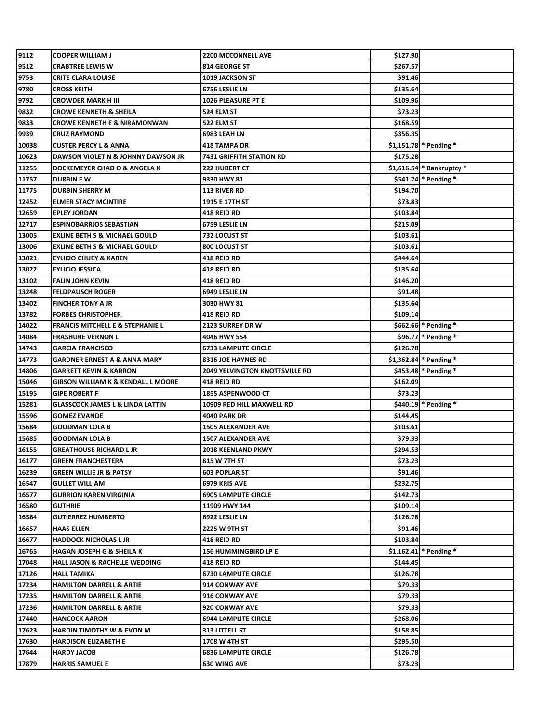| 9112           | <b>COOPER WILLIAM J</b>                           | <b>2200 MCCONNELL AVE</b>             | \$127.90             |                           |
|----------------|---------------------------------------------------|---------------------------------------|----------------------|---------------------------|
| 9512           | CRABTREE LEWIS W                                  | <b>814 GEORGE ST</b>                  | \$267.57             |                           |
| 9753           | <b>CRITE CLARA LOUISE</b>                         | <b>1019 JACKSON ST</b>                | \$91.46              |                           |
| 9780           | <b>CROSS KEITH</b>                                | 6756 LESLIE LN                        | \$135.64             |                           |
| 9792           | <b>CROWDER MARK H III</b>                         | 1026 PLEASURE PT E                    | \$109.96             |                           |
| 9832           | <b>CROWE KENNETH &amp; SHEILA</b>                 | 524 ELM ST                            | \$73.23              |                           |
| 9833           | <b>CROWE KENNETH E &amp; NIRAMONWAN</b>           | 522 ELM ST                            | \$168.59             |                           |
| 9939           | <b>CRUZ RAYMOND</b>                               | 6983 LEAH LN                          | \$356.35             |                           |
| 10038          | <b>CUSTER PERCY L &amp; ANNA</b>                  | <b>418 TAMPA DR</b>                   |                      | $$1,151.78$ Pending *     |
| 10623          | DAWSON VIOLET N & JOHNNY DAWSON JR                | 7431 GRIFFITH STATION RD              | \$175.28             |                           |
| 11255          | DOCKEMEYER CHAD O & ANGELA K                      | 222 HUBERT CT                         |                      | \$1,616.54 * Bankruptcy * |
| 11757          | <b>DURBIN E W</b>                                 | 9330 HWY 81                           |                      | \$541.74 * Pending *      |
| 11775          | <b>DURBIN SHERRY M</b>                            | <b>113 RIVER RD</b>                   | \$194.70             |                           |
| 12452          | <b>ELMER STACY MCINTIRE</b>                       | 1915 E 17TH ST                        | \$73.83              |                           |
| 12659          | <b>EPLEY JORDAN</b>                               | 418 REID RD                           | \$103.84             |                           |
| 12717          | <b>ESPINOBARRIOS SEBASTIAN</b>                    | 6759 LESLIE LN                        | \$215.09             |                           |
| 13005          | <b>EXLINE BETH S &amp; MICHAEL GOULD</b>          | 732 LOCUST ST                         | \$103.61             |                           |
| 13006          | EXLINE BETH S & MICHAEL GOULD                     | 800 LOCUST ST                         | \$103.61             |                           |
| 13021          | <b>EYLICIO CHUEY &amp; KAREN</b>                  | 418 REID RD                           | \$444.64             |                           |
| 13022          | <b>EYLICIO JESSICA</b>                            | 418 REID RD                           | \$135.64             |                           |
| 13102          | <b>FALIN JOHN KEVIN</b>                           | 418 REID RD                           | \$146.20             |                           |
| 13248          | <b>FELDPAUSCH ROGER</b>                           | 6949 LESLIE LN                        | \$91.48              |                           |
| 13402          | <b>FINCHER TONY A JR</b>                          | 3030 HWY 81                           | \$135.64             |                           |
| 13782          | <b>FORBES CHRISTOPHER</b>                         | 418 REID RD                           | \$109.14             |                           |
| 14022          | <b>FRANCIS MITCHELL E &amp; STEPHANIE L</b>       | 2123 SURREY DR W                      |                      | \$662.66 * Pending *      |
| 14084          | <b>FRASHURE VERNON L</b>                          | 4046 HWY 554                          |                      | \$96.77 * Pending *       |
| 14743          | <b>GARCIA FRANCISCO</b>                           | <b>6733 LAMPLITE CIRCLE</b>           | \$126.78             |                           |
| 14773          | <b>GARDNER ERNEST A &amp; ANNA MARY</b>           | 8316 JOE HAYNES RD                    |                      | \$1,362.84 * Pending *    |
| 14806          | <b>GARRETT KEVIN &amp; KARRON</b>                 | <b>2049 YELVINGTON KNOTTSVILLE RD</b> |                      | \$453.48 * Pending *      |
| 15046          | <b>GIBSON WILLIAM K &amp; KENDALL L MOORE</b>     | 418 REID RD                           | \$162.09             |                           |
| 15195          | <b>GIPE ROBERT F</b>                              | 1855 ASPENWOOD CT                     | \$73.23              |                           |
| 15281          | <b>GLASSCOCK JAMES L &amp; LINDA LATTIN</b>       | 10909 RED HILL MAXWELL RD             |                      | \$440.19 * Pending *      |
| 15596          | <b>GOMEZ EVANDE</b>                               | 4040 PARK DR                          | \$144.45             |                           |
| 15684          | <b>GOODMAN LOLA B</b>                             | 1505 ALEXANDER AVE                    | \$103.61             |                           |
| 15685          | <b>GOODMAN LOLA B</b>                             | 1507 ALEXANDER AVE                    | \$79.33              |                           |
| 16155          | <b>GREATHOUSE RICHARD L JR</b>                    | <b>2018 KEENLAND PKWY</b>             | \$294.53             |                           |
| 16177          | <b>GREEN FRANCHESTERA</b>                         | 815 W 7TH ST                          | \$73.23              |                           |
| 16239          | <b>GREEN WILLIE JR &amp; PATSY</b>                | <b>603 POPLAR ST</b>                  | \$91.46              |                           |
| 16547          | <b>GULLET WILLIAM</b>                             | 6979 KRIS AVE                         | \$232.75             |                           |
| 16577          | <b>GURRION KAREN VIRGINIA</b>                     | <b>6905 LAMPLITE CIRCLE</b>           | \$142.73             |                           |
| 16580          | <b>GUTHRIE</b>                                    | 11909 HWY 144                         | \$109.14             |                           |
| 16584          | <b>GUTIERREZ HUMBERTO</b>                         | 6922 LESLIE LN                        | \$126.78             |                           |
| 16657          | <b>HAAS ELLEN</b>                                 | 2225 W 9TH ST                         | \$91.46              |                           |
| 16677          | <b>HADDOCK NICHOLAS L JR</b>                      | 418 REID RD                           | \$103.84             |                           |
| 16765          | <b>HAGAN JOSEPH G &amp; SHEILA K</b>              | <b>156 HUMMINGBIRD LP E</b>           |                      | $$1,162.41$ Pending *     |
| 17048          | <b>HALL JASON &amp; RACHELLE WEDDING</b>          | 418 REID RD                           | \$144.45             |                           |
| 17126          | <b>HALL TAMIKA</b>                                | <b>6730 LAMPLITE CIRCLE</b>           | \$126.78             |                           |
| 17234          | <b>HAMILTON DARRELL &amp; ARTIE</b>               | 914 CONWAY AVE                        | \$79.33              |                           |
| 17235          | <b>HAMILTON DARRELL &amp; ARTIE</b>               | <b>916 CONWAY AVE</b>                 | \$79.33              |                           |
| 17236          | <b>HAMILTON DARRELL &amp; ARTIE</b>               | 920 CONWAY AVE                        | \$79.33              |                           |
| 17440          | <b>HANCOCK AARON</b>                              | <b>6944 LAMPLITE CIRCLE</b>           | \$268.06             |                           |
| 17623          | <b>HARDIN TIMOTHY W &amp; EVON M</b>              | <b>313 LITTELL ST</b>                 | \$158.85             |                           |
|                |                                                   |                                       |                      |                           |
|                |                                                   | 1708 W 4TH ST                         |                      |                           |
| 17630<br>17644 | <b>HARDISON ELIZABETH E</b><br><b>HARDY JACOB</b> | <b>6836 LAMPLITE CIRCLE</b>           | \$295.50<br>\$126.78 |                           |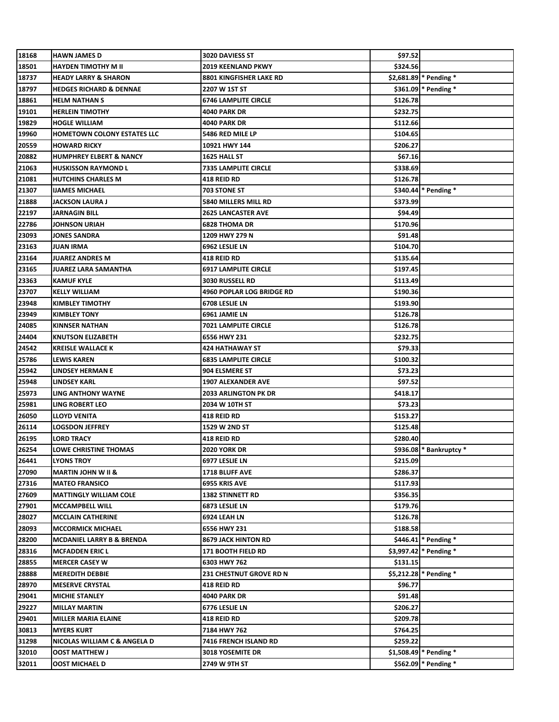| 18168 | <b>HAWN JAMES D</b>                  | 3020 DAVIESS ST             | \$97.52  |                          |
|-------|--------------------------------------|-----------------------------|----------|--------------------------|
| 18501 | HAYDEN TIMOTHY M II                  | 2019 KEENLAND PKWY          | \$324.56 |                          |
| 18737 | <b>HEADY LARRY &amp; SHARON</b>      | 8801 KINGFISHER LAKE RD     |          | \$2,681.89 * Pending *   |
| 18797 | <b>HEDGES RICHARD &amp; DENNAE</b>   | 2207 W 1ST ST               |          | \$361.09 * Pending *     |
| 18861 | <b>HELM NATHAN S</b>                 | <b>6746 LAMPLITE CIRCLE</b> | \$126.78 |                          |
| 19101 | <b>HERLEIN TIMOTHY</b>               | 4040 PARK DR                | \$232.75 |                          |
| 19829 | <b>HOGLE WILLIAM</b>                 | 4040 PARK DR                | \$112.66 |                          |
| 19960 | HOMETOWN COLONY ESTATES LLC          | 5486 RED MILE LP            | \$104.65 |                          |
| 20559 | <b>HOWARD RICKY</b>                  | 10921 HWY 144               | \$206.27 |                          |
| 20882 | <b>HUMPHREY ELBERT &amp; NANCY</b>   | 1625 HALL ST                | \$67.16  |                          |
| 21063 | <b>HUSKISSON RAYMOND L</b>           | <b>7335 LAMPLITE CIRCLE</b> | \$338.69 |                          |
| 21081 | <b>HUTCHINS CHARLES M</b>            | 418 REID RD                 | \$126.78 |                          |
| 21307 | IJAMES MICHAEL                       | 703 STONE ST                |          | $$340.44$ * Pending *    |
| 21888 | JACKSON LAURA J                      | 5840 MILLERS MILL RD        | \$373.99 |                          |
| 22197 | JARNAGIN BILL                        | <b>2625 LANCASTER AVE</b>   | \$94.49  |                          |
| 22786 | JOHNSON URIAH                        | 6828 THOMA DR               | \$170.96 |                          |
| 23093 | JONES SANDRA                         | 1209 HWY 279 N              | \$91.48  |                          |
| 23163 | JUAN IRMA                            | 6962 LESLIE LN              | \$104.70 |                          |
| 23164 | JUAREZ ANDRES M                      | 418 REID RD                 | \$135.64 |                          |
| 23165 | JUAREZ LARA SAMANTHA                 | <b>6917 LAMPLITE CIRCLE</b> | \$197.45 |                          |
| 23363 | KAMUF KYLE                           | <b>3030 RUSSELL RD</b>      | \$113.49 |                          |
| 23707 | <b>KELLY WILLIAM</b>                 | 4960 POPLAR LOG BRIDGE RD   | \$190.36 |                          |
| 23948 | <b>KIMBLEY TIMOTHY</b>               | 6708 LESLIE LN              | \$193.90 |                          |
| 23949 | <b>KIMBLEY TONY</b>                  | 6961 JAMIE LN               | \$126.78 |                          |
| 24085 | <b>KINNSER NATHAN</b>                | 7021 LAMPLITE CIRCLE        | \$126.78 |                          |
| 24404 | <b>KNUTSON ELIZABETH</b>             | 6556 HWY 231                | \$232.75 |                          |
| 24542 | <b>KREISLE WALLACE K</b>             | 424 HATHAWAY ST             | \$79.33  |                          |
| 25786 | LEWIS KAREN                          | <b>6835 LAMPLITE CIRCLE</b> | \$100.32 |                          |
| 25942 | <b>LINDSEY HERMAN E</b>              | 904 ELSMERE ST              | \$73.23  |                          |
| 25948 | LINDSEY KARL                         | <b>1907 ALEXANDER AVE</b>   | \$97.52  |                          |
| 25973 | LING ANTHONY WAYNE                   | 2033 ARLINGTON PK DR        | \$418.17 |                          |
| 25981 | LING ROBERT LEO                      | 2034 W 10TH ST              | \$73.23  |                          |
| 26050 | LLOYD VENITA                         | 418 REID RD                 | \$153.27 |                          |
| 26114 | LOGSDON JEFFREY                      | 1529 W 2ND ST               | \$125.48 |                          |
| 26195 | LORD TRACY                           | 418 REID RD                 | \$280.40 |                          |
| 26254 | LOWE CHRISTINE THOMAS                | 2020 YORK DR                |          | $$936.08$ * Bankruptcy * |
| 26441 | <b>LYONS TROY</b>                    | 6977 LESLIE LN              | \$215.09 |                          |
| 27090 | <b>MARTIN JOHN W II &amp;</b>        | <b>1718 BLUFF AVE</b>       | \$286.37 |                          |
| 27316 | <b>MATEO FRANSICO</b>                | 6955 KRIS AVE               | \$117.93 |                          |
| 27609 | <b>MATTINGLY WILLIAM COLE</b>        | <b>1382 STINNETT RD</b>     | \$356.35 |                          |
| 27901 | <b>MCCAMPBELL WILL</b>               | 6873 LESLIE LN              | \$179.76 |                          |
| 28027 | <b>MCCLAIN CATHERINE</b>             | 6924 LEAH LN                | \$126.78 |                          |
| 28093 | <b>MCCORMICK MICHAEL</b>             | 6556 HWY 231                | \$188.58 |                          |
| 28200 | <b>MCDANIEL LARRY B &amp; BRENDA</b> | 8679 JACK HINTON RD         |          | \$446.41 * Pending *     |
| 28316 | <b>MCFADDEN ERIC L</b>               | <b>171 BOOTH FIELD RD</b>   |          | $$3,997.42$ Pending *    |
| 28855 | <b>MERCER CASEY W</b>                | 6303 HWY 762                | \$131.15 |                          |
| 28888 | <b>MEREDITH DEBBIE</b>               | 231 CHESTNUT GROVE RD N     |          | $$5,212.28$ * Pending *  |
| 28970 | <b>MESERVE CRYSTAL</b>               | 418 REID RD                 | \$96.77  |                          |
| 29041 | <b>MICHIE STANLEY</b>                | 4040 PARK DR                | \$91.48  |                          |
| 29227 | <b>MILLAY MARTIN</b>                 | 6776 LESLIE LN              | \$206.27 |                          |
| 29401 | MILLER MARIA ELAINE                  | 418 REID RD                 | \$209.78 |                          |
| 30813 | <b>MYERS KURT</b>                    | 7184 HWY 762                | \$764.25 |                          |
| 31298 | NICOLAS WILLIAM C & ANGELA D         | 7416 FRENCH ISLAND RD       | \$259.22 |                          |
| 32010 | OOST MATTHEW J                       | 3018 YOSEMITE DR            |          | \$1,508.49 * Pending *   |
|       | OOST MICHAEL D                       | 2749 W 9TH ST               |          | \$562.09 * Pending *     |
| 32011 |                                      |                             |          |                          |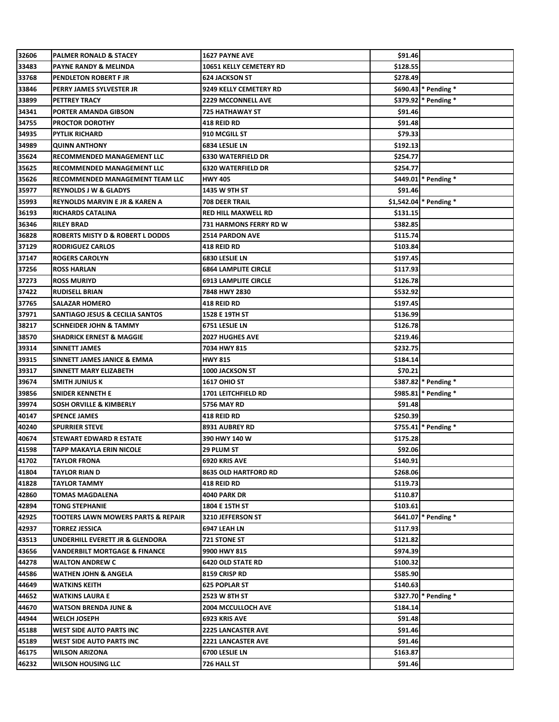| 32606          | <b>PALMER RONALD &amp; STACEY</b>           | <b>1627 PAYNE AVE</b>                       | \$91.46             |                         |
|----------------|---------------------------------------------|---------------------------------------------|---------------------|-------------------------|
| 33483          | PAYNE RANDY & MELINDA                       | 10651 KELLY CEMETERY RD                     | \$128.55            |                         |
| 33768          | PENDLETON ROBERT F JR                       | <b>624 JACKSON ST</b>                       | \$278.49            |                         |
| 33846          | PERRY JAMES SYLVESTER JR                    | 9249 KELLY CEMETERY RD                      |                     | \$690.43 * Pending *    |
| 33899          | PETTREY TRACY                               | <b>2229 MCCONNELL AVE</b>                   |                     | \$379.92 * Pending *    |
| 34341          | PORTER AMANDA GIBSON                        | <b>725 HATHAWAY ST</b>                      | \$91.46             |                         |
| 34755          | <b>PROCTOR DOROTHY</b>                      | <b>418 REID RD</b>                          | \$91.48             |                         |
| 34935          | <b>PYTLIK RICHARD</b>                       | 910 MCGILL ST                               | \$79.33             |                         |
| 34989          | <b>QUINN ANTHONY</b>                        | 6834 LESLIE LN                              | \$192.13            |                         |
| 35624          | RECOMMENDED MANAGEMENT LLC                  | <b>6330 WATERFIELD DR</b>                   | \$254.77            |                         |
| 35625          | RECOMMENDED MANAGEMENT LLC                  | <b>6320 WATERFIELD DR</b>                   | \$254.77            |                         |
| 35626          | RECOMMENDED MANAGEMENT TEAM LLC             | <b>HWY 405</b>                              |                     | \$449.01 * Pending *    |
| 35977          | <b>REYNOLDS J W &amp; GLADYS</b>            | 1435 W 9TH ST                               | \$91.46             |                         |
| 35993          | <b>REYNOLDS MARVIN E JR &amp; KAREN A</b>   | <b>708 DEER TRAIL</b>                       |                     | $$1,542.04$ * Pending * |
| 36193          | <b>RICHARDS CATALINA</b>                    | <b>RED HILL MAXWELL RD</b>                  | \$131.15            |                         |
| 36346          | <b>RILEY BRAD</b>                           | <b>731 HARMONS FERRY RD W</b>               | \$382.85            |                         |
| 36828          | <b>ROBERTS MISTY D &amp; ROBERT L DODDS</b> | <b>2514 PARDON AVE</b>                      | \$115.74            |                         |
| 37129          | <b>RODRIGUEZ CARLOS</b>                     | <b>418 REID RD</b>                          | \$103.84            |                         |
| 37147          | <b>ROGERS CAROLYN</b>                       | 6830 LESLIE LN                              | \$197.45            |                         |
| 37256          | <b>ROSS HARLAN</b>                          | <b>6864 LAMPLITE CIRCLE</b>                 | \$117.93            |                         |
| 37273          | <b>ROSS MURIYD</b>                          | <b>6913 LAMPLITE CIRCLE</b>                 | \$126.78            |                         |
| 37422          | <b>RUDISELL BRIAN</b>                       | 7848 HWY 2830                               | \$532.92            |                         |
| 37765          | <b>SALAZAR HOMERO</b>                       | <b>418 REID RD</b>                          | \$197.45            |                         |
| 37971          | <b>SANTIAGO JESUS &amp; CECILIA SANTOS</b>  | 1528 E 19TH ST                              | \$136.99            |                         |
| 38217          | <b>SCHNEIDER JOHN &amp; TAMMY</b>           | 6751 LESLIE LN                              | \$126.78            |                         |
| 38570          | <b>SHADRICK ERNEST &amp; MAGGIE</b>         | <b>2027 HUGHES AVE</b>                      | \$219.46            |                         |
| 39314          | SINNETT JAMES                               | 7034 HWY 815                                | \$232.75            |                         |
| 39315          | SINNETT JAMES JANICE & EMMA                 | <b>HWY 815</b>                              | \$184.14            |                         |
| 39317          | SINNETT MARY ELIZABETH                      | <b>1000 JACKSON ST</b>                      | \$70.21             |                         |
| 39674          | <b>SMITH JUNIUS K</b>                       | 1617 OHIO ST                                |                     | \$387.82 * Pending *    |
| 39856          | SNIDER KENNETH E                            | 1701 LEITCHFIELD RD                         |                     | \$985.81 * Pending *    |
| 39974          | SOSH ORVILLE & KIMBERLY                     | <b>5756 MAY RD</b>                          | \$91.48             |                         |
| 40147          | <b>SPENCE JAMES</b>                         | <b>418 REID RD</b>                          | \$250.39            |                         |
| 40240          | <b>SPURRIER STEVE</b>                       | 8931 AUBREY RD                              |                     | \$755.41 * Pending *    |
| 40674          | STEWART EDWARD R ESTATE                     | 390 HWY 140 W                               | \$175.28            |                         |
| 41598          | TAPP MAKAYLA ERIN NICOLE                    | <b>29 PLUM ST</b>                           | \$92.06             |                         |
| 41702          | TAYLOR FRONA                                | 6920 KRIS AVE                               | \$140.91            |                         |
| 41804          | TAYLOR RIAN D                               | <b>8635 OLD HARTFORD RD</b>                 | \$268.06            |                         |
| 41828          | <b>TAYLOR TAMMY</b>                         | <b>418 REID RD</b>                          | \$119.73            |                         |
| 42860          | TOMAS MAGDALENA                             | <b>4040 PARK DR</b>                         | \$110.87            |                         |
| 42894          | <b>TONG STEPHANIE</b>                       | 1804 E 15TH ST                              | \$103.61            |                         |
| 42925          | TOOTERS LAWN MOWERS PARTS & REPAIR          | 3210 JEFFERSON ST                           |                     | $$641.07$ * Pending *   |
| 42937          | <b>TORREZ JESSICA</b>                       | <b>6947 LEAH LN</b>                         | \$117.93            |                         |
| 43513          | UNDERHILL EVERETT JR & GLENDORA             | <b>721 STONE ST</b>                         | \$121.82            |                         |
| 43656          | VANDERBILT MORTGAGE & FINANCE               | 9900 HWY 815                                | \$974.39            |                         |
| 44278          | <b>WALTON ANDREW C</b>                      | <b>6420 OLD STATE RD</b>                    | \$100.32            |                         |
| 44586          | WATHEN JOHN & ANGELA                        | 8159 CRISP RD                               | \$585.90            |                         |
| 44649          | WATKINS KEITH                               | <b>625 POPLAR ST</b>                        | \$140.63            |                         |
| 44652          | WATKINS LAURA E                             | 2523 W 8TH ST                               |                     | \$327.70 * Pending *    |
| 44670          | WATSON BRENDA JUNE &                        | <b>2004 MCCULLOCH AVE</b>                   | \$184.14            |                         |
| 44944          | <b>WELCH JOSEPH</b>                         | 6923 KRIS AVE                               | \$91.48             |                         |
| 45188          | WEST SIDE AUTO PARTS INC                    | <b>2225 LANCASTER AVE</b>                   | \$91.46             |                         |
|                |                                             |                                             |                     |                         |
|                |                                             |                                             |                     |                         |
| 45189<br>46175 | WEST SIDE AUTO PARTS INC<br>WILSON ARIZONA  | <b>2221 LANCASTER AVE</b><br>6700 LESLIE LN | \$91.46<br>\$163.87 |                         |